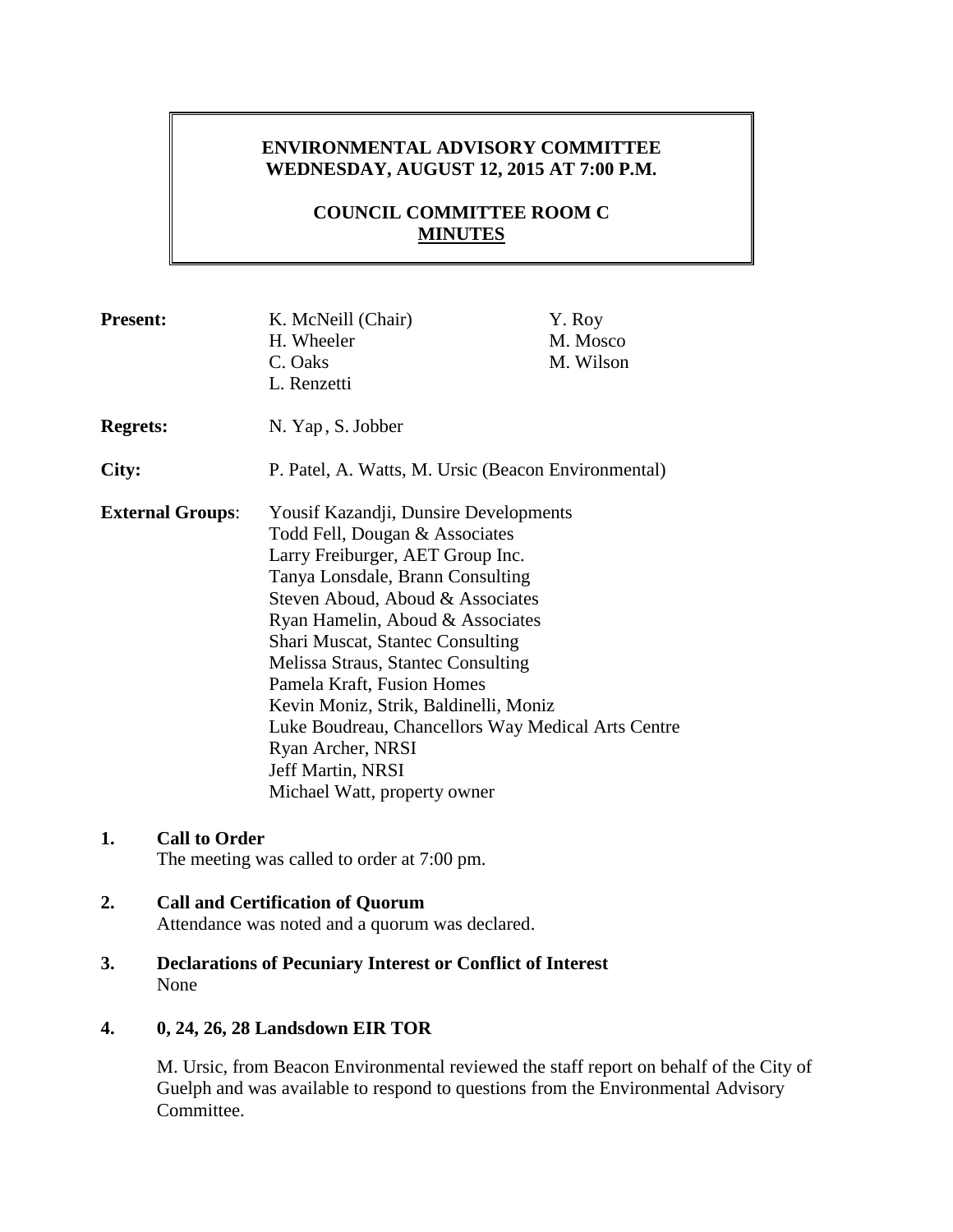# **ENVIRONMENTAL ADVISORY COMMITTEE WEDNESDAY, AUGUST 12, 2015 AT 7:00 P.M.**

# **COUNCIL COMMITTEE ROOM C MINUTES**

| <b>Present:</b>         | K. McNeill (Chair)<br>H. Wheeler<br>C. Oaks<br>L. Renzetti                                                                                                                                                                                                                                                                                                                                                                                                                                                      | Y. Roy<br>M. Mosco<br>M. Wilson |
|-------------------------|-----------------------------------------------------------------------------------------------------------------------------------------------------------------------------------------------------------------------------------------------------------------------------------------------------------------------------------------------------------------------------------------------------------------------------------------------------------------------------------------------------------------|---------------------------------|
| <b>Regrets:</b>         | N. Yap, S. Jobber                                                                                                                                                                                                                                                                                                                                                                                                                                                                                               |                                 |
| City:                   | P. Patel, A. Watts, M. Ursic (Beacon Environmental)                                                                                                                                                                                                                                                                                                                                                                                                                                                             |                                 |
| <b>External Groups:</b> | Yousif Kazandji, Dunsire Developments<br>Todd Fell, Dougan & Associates<br>Larry Freiburger, AET Group Inc.<br>Tanya Lonsdale, Brann Consulting<br>Steven Aboud, Aboud & Associates<br>Ryan Hamelin, Aboud & Associates<br><b>Shari Muscat, Stantec Consulting</b><br>Melissa Straus, Stantec Consulting<br>Pamela Kraft, Fusion Homes<br>Kevin Moniz, Strik, Baldinelli, Moniz<br>Luke Boudreau, Chancellors Way Medical Arts Centre<br>Ryan Archer, NRSI<br>Jeff Martin, NRSI<br>Michael Watt, property owner |                                 |

## **1. Call to Order**

The meeting was called to order at 7:00 pm.

# **2. Call and Certification of Quorum**

Attendance was noted and a quorum was declared.

**3. Declarations of Pecuniary Interest or Conflict of Interest** None

## **4. 0, 24, 26, 28 Landsdown EIR TOR**

M. Ursic, from Beacon Environmental reviewed the staff report on behalf of the City of Guelph and was available to respond to questions from the Environmental Advisory Committee.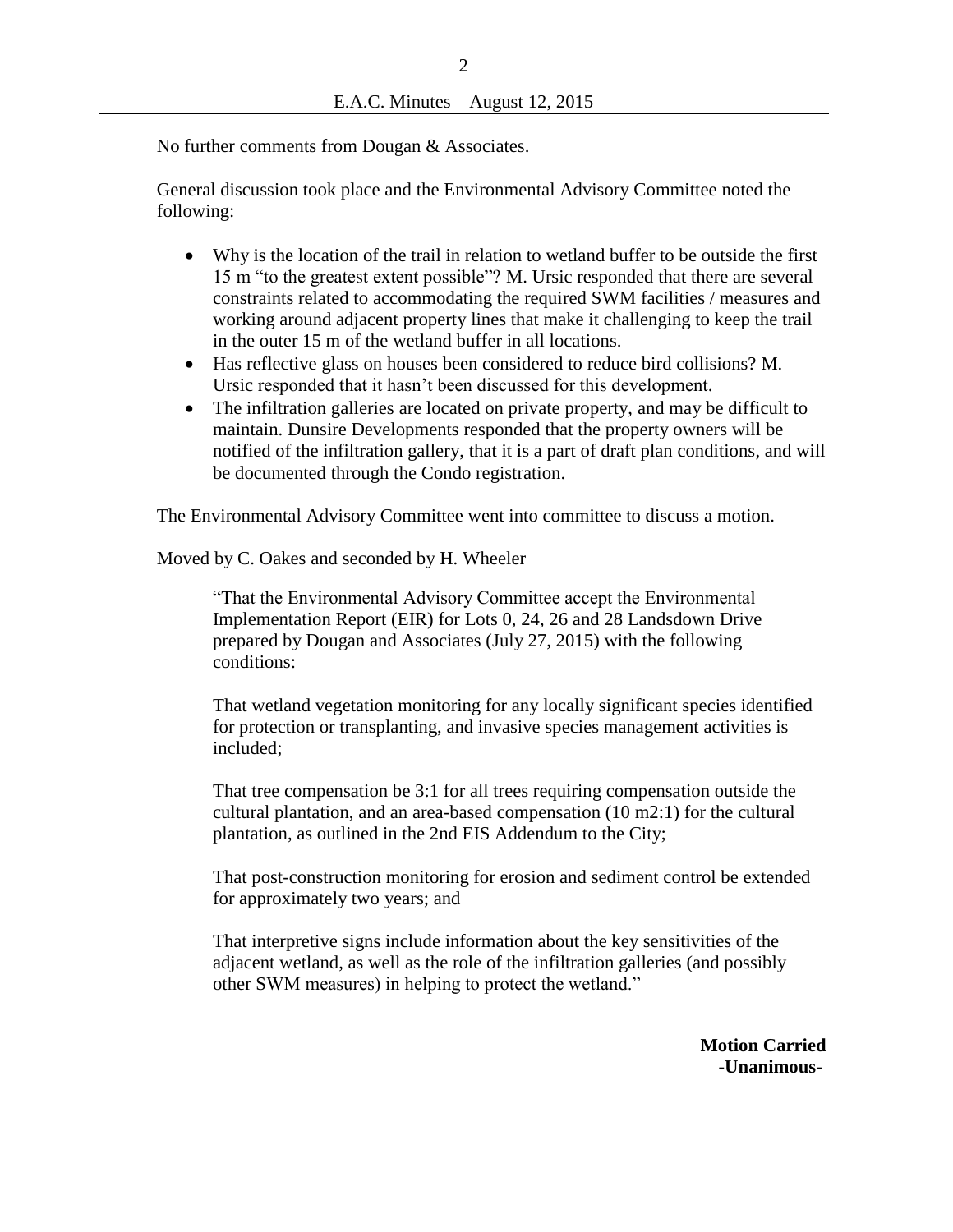No further comments from Dougan & Associates.

General discussion took place and the Environmental Advisory Committee noted the following:

- Why is the location of the trail in relation to wetland buffer to be outside the first 15 m "to the greatest extent possible"? M. Ursic responded that there are several constraints related to accommodating the required SWM facilities / measures and working around adjacent property lines that make it challenging to keep the trail in the outer 15 m of the wetland buffer in all locations.
- Has reflective glass on houses been considered to reduce bird collisions? M. Ursic responded that it hasn't been discussed for this development.
- The infiltration galleries are located on private property, and may be difficult to maintain. Dunsire Developments responded that the property owners will be notified of the infiltration gallery, that it is a part of draft plan conditions, and will be documented through the Condo registration.

The Environmental Advisory Committee went into committee to discuss a motion.

Moved by C. Oakes and seconded by H. Wheeler

"That the Environmental Advisory Committee accept the Environmental Implementation Report (EIR) for Lots 0, 24, 26 and 28 Landsdown Drive prepared by Dougan and Associates (July 27, 2015) with the following conditions:

That wetland vegetation monitoring for any locally significant species identified for protection or transplanting, and invasive species management activities is included;

That tree compensation be 3:1 for all trees requiring compensation outside the cultural plantation, and an area-based compensation (10 m2:1) for the cultural plantation, as outlined in the 2nd EIS Addendum to the City;

That post-construction monitoring for erosion and sediment control be extended for approximately two years; and

That interpretive signs include information about the key sensitivities of the adjacent wetland, as well as the role of the infiltration galleries (and possibly other SWM measures) in helping to protect the wetland."

> **Motion Carried -Unanimous-**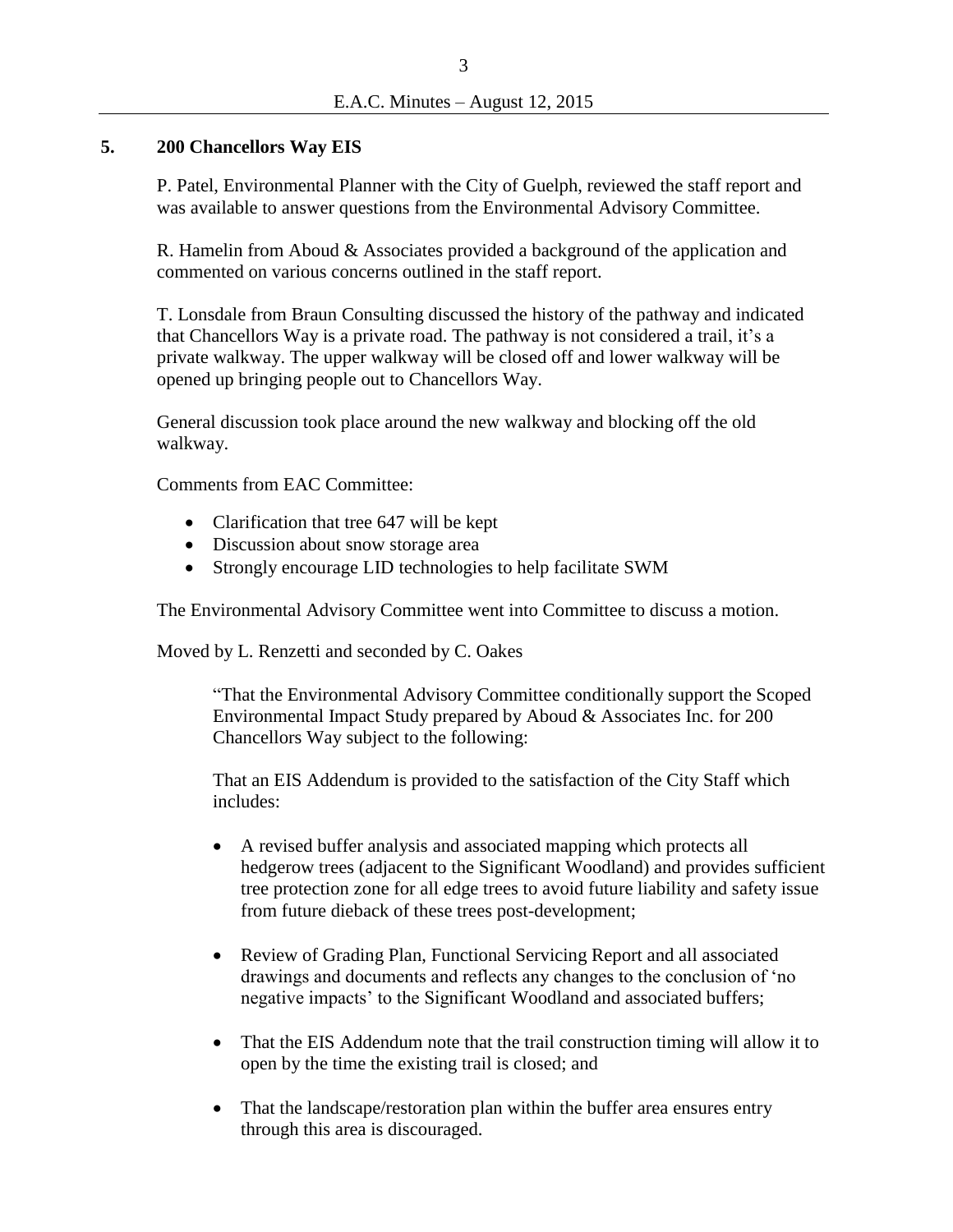## **5. 200 Chancellors Way EIS**

P. Patel, Environmental Planner with the City of Guelph, reviewed the staff report and was available to answer questions from the Environmental Advisory Committee.

R. Hamelin from Aboud & Associates provided a background of the application and commented on various concerns outlined in the staff report.

T. Lonsdale from Braun Consulting discussed the history of the pathway and indicated that Chancellors Way is a private road. The pathway is not considered a trail, it's a private walkway. The upper walkway will be closed off and lower walkway will be opened up bringing people out to Chancellors Way.

General discussion took place around the new walkway and blocking off the old walkway.

Comments from EAC Committee:

- Clarification that tree 647 will be kept
- Discussion about snow storage area
- Strongly encourage LID technologies to help facilitate SWM

The Environmental Advisory Committee went into Committee to discuss a motion.

Moved by L. Renzetti and seconded by C. Oakes

"That the Environmental Advisory Committee conditionally support the Scoped Environmental Impact Study prepared by Aboud & Associates Inc. for 200 Chancellors Way subject to the following:

That an EIS Addendum is provided to the satisfaction of the City Staff which includes:

- A revised buffer analysis and associated mapping which protects all hedgerow trees (adjacent to the Significant Woodland) and provides sufficient tree protection zone for all edge trees to avoid future liability and safety issue from future dieback of these trees post-development;
- Review of Grading Plan, Functional Servicing Report and all associated drawings and documents and reflects any changes to the conclusion of 'no negative impacts' to the Significant Woodland and associated buffers;
- That the EIS Addendum note that the trail construction timing will allow it to open by the time the existing trail is closed; and
- That the landscape/restoration plan within the buffer area ensures entry through this area is discouraged.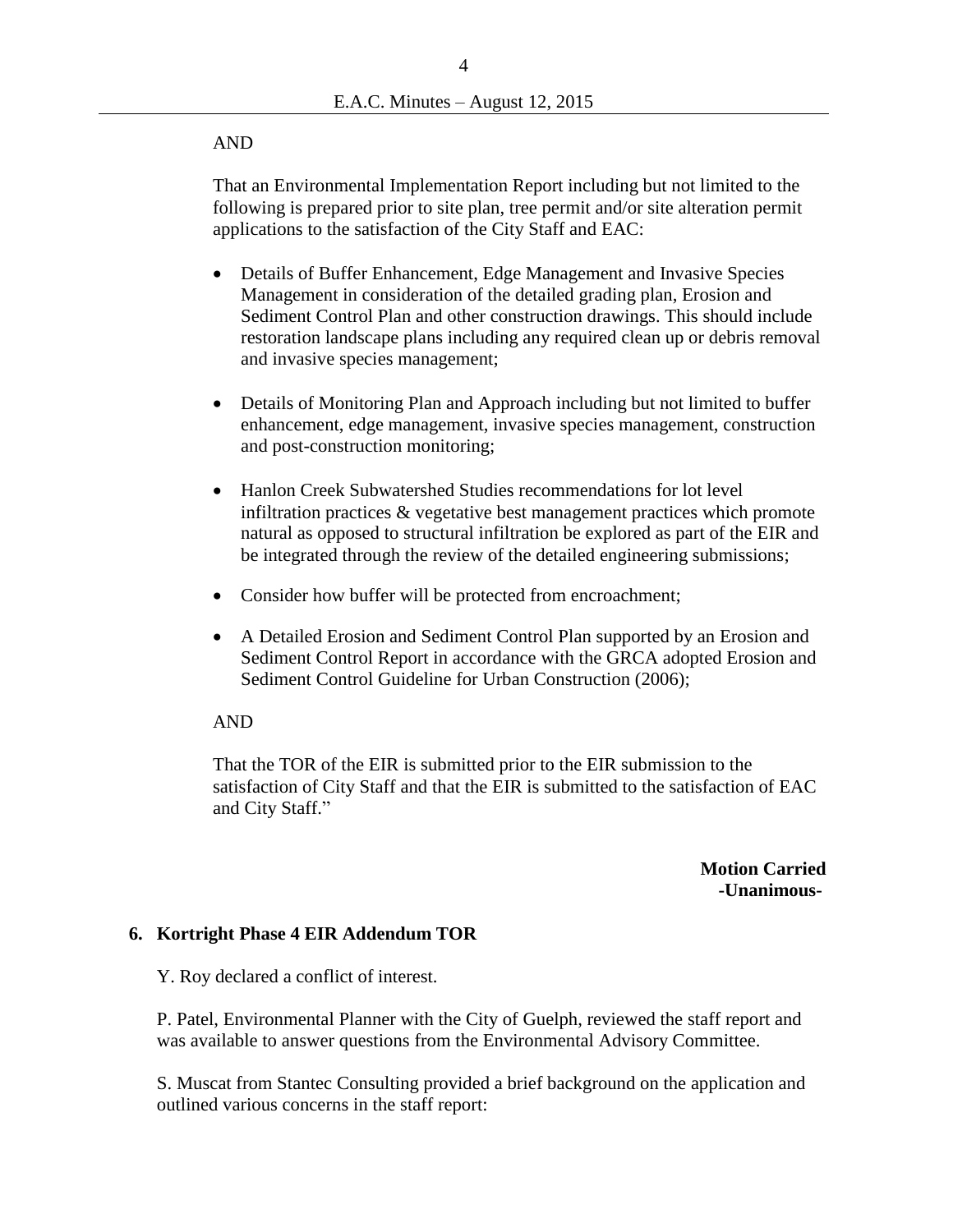#### AND

That an Environmental Implementation Report including but not limited to the following is prepared prior to site plan, tree permit and/or site alteration permit applications to the satisfaction of the City Staff and EAC:

- Details of Buffer Enhancement, Edge Management and Invasive Species Management in consideration of the detailed grading plan, Erosion and Sediment Control Plan and other construction drawings. This should include restoration landscape plans including any required clean up or debris removal and invasive species management;
- Details of Monitoring Plan and Approach including but not limited to buffer enhancement, edge management, invasive species management, construction and post-construction monitoring;
- Hanlon Creek Subwatershed Studies recommendations for lot level infiltration practices & vegetative best management practices which promote natural as opposed to structural infiltration be explored as part of the EIR and be integrated through the review of the detailed engineering submissions;
- Consider how buffer will be protected from encroachment;
- A Detailed Erosion and Sediment Control Plan supported by an Erosion and Sediment Control Report in accordance with the GRCA adopted Erosion and Sediment Control Guideline for Urban Construction (2006);

#### AND

That the TOR of the EIR is submitted prior to the EIR submission to the satisfaction of City Staff and that the EIR is submitted to the satisfaction of EAC and City Staff."

> **Motion Carried -Unanimous-**

#### **6. Kortright Phase 4 EIR Addendum TOR**

Y. Roy declared a conflict of interest.

P. Patel, Environmental Planner with the City of Guelph, reviewed the staff report and was available to answer questions from the Environmental Advisory Committee.

S. Muscat from Stantec Consulting provided a brief background on the application and outlined various concerns in the staff report: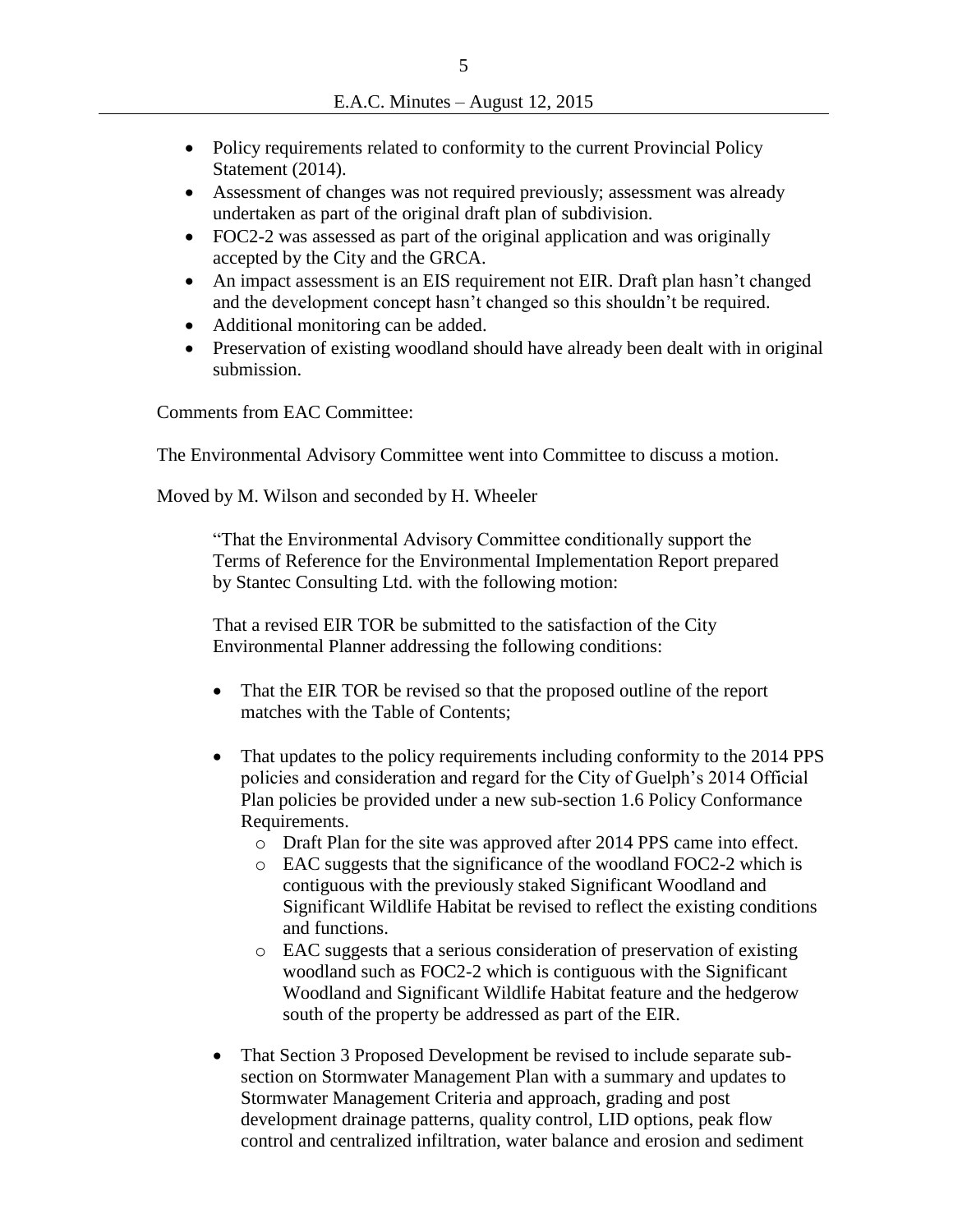- Policy requirements related to conformity to the current Provincial Policy Statement (2014).
- Assessment of changes was not required previously; assessment was already undertaken as part of the original draft plan of subdivision.
- FOC2-2 was assessed as part of the original application and was originally accepted by the City and the GRCA.
- An impact assessment is an EIS requirement not EIR. Draft plan hasn't changed and the development concept hasn't changed so this shouldn't be required.
- Additional monitoring can be added.
- Preservation of existing woodland should have already been dealt with in original submission.

Comments from EAC Committee:

The Environmental Advisory Committee went into Committee to discuss a motion.

Moved by M. Wilson and seconded by H. Wheeler

"That the Environmental Advisory Committee conditionally support the Terms of Reference for the Environmental Implementation Report prepared by Stantec Consulting Ltd. with the following motion:

That a revised EIR TOR be submitted to the satisfaction of the City Environmental Planner addressing the following conditions:

- That the EIR TOR be revised so that the proposed outline of the report matches with the Table of Contents;
- That updates to the policy requirements including conformity to the 2014 PPS policies and consideration and regard for the City of Guelph's 2014 Official Plan policies be provided under a new sub-section 1.6 Policy Conformance Requirements.
	- o Draft Plan for the site was approved after 2014 PPS came into effect.
	- o EAC suggests that the significance of the woodland FOC2-2 which is contiguous with the previously staked Significant Woodland and Significant Wildlife Habitat be revised to reflect the existing conditions and functions.
	- o EAC suggests that a serious consideration of preservation of existing woodland such as FOC2-2 which is contiguous with the Significant Woodland and Significant Wildlife Habitat feature and the hedgerow south of the property be addressed as part of the EIR.
- That Section 3 Proposed Development be revised to include separate subsection on Stormwater Management Plan with a summary and updates to Stormwater Management Criteria and approach, grading and post development drainage patterns, quality control, LID options, peak flow control and centralized infiltration, water balance and erosion and sediment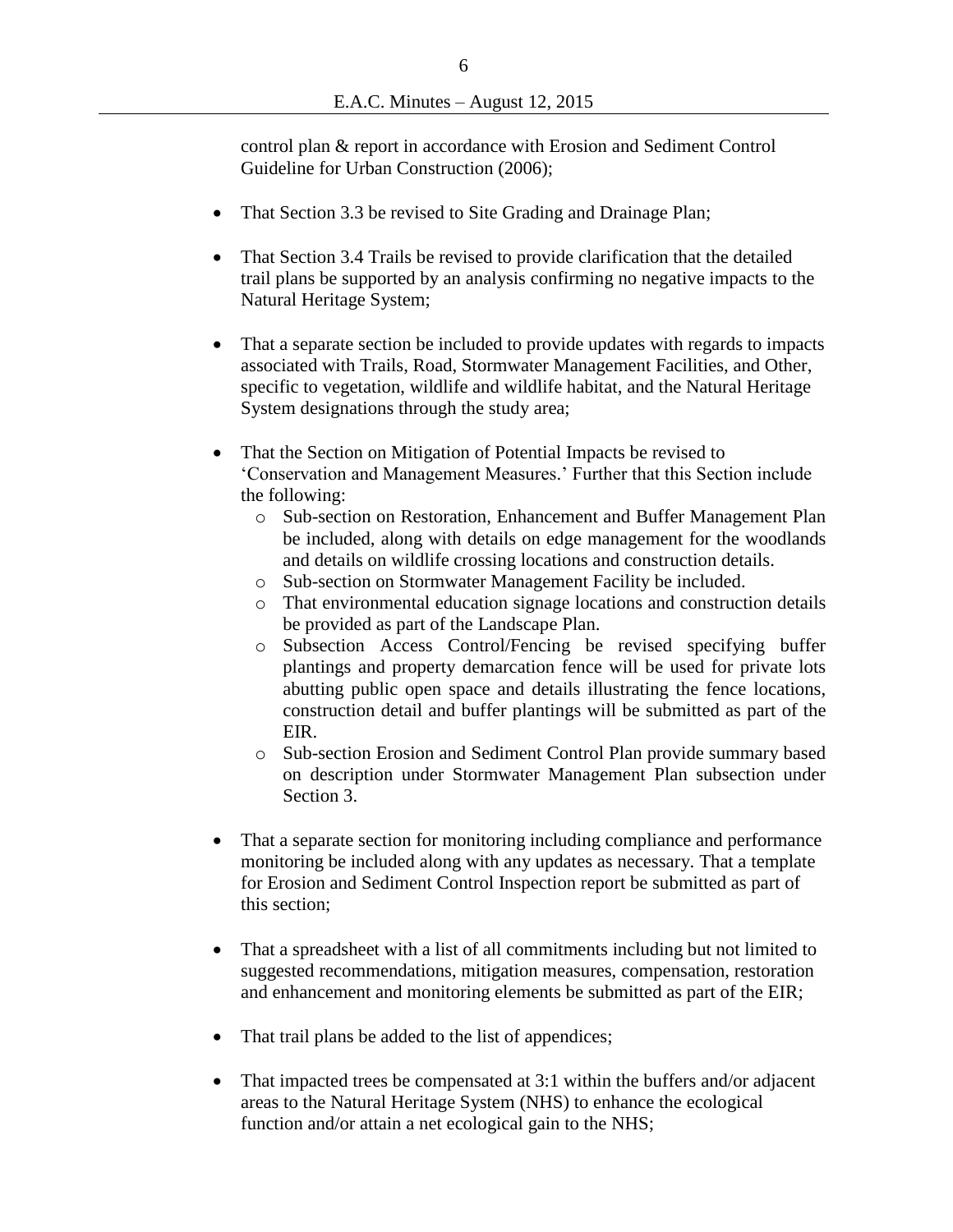control plan & report in accordance with Erosion and Sediment Control Guideline for Urban Construction (2006);

- That Section 3.3 be revised to Site Grading and Drainage Plan;
- That Section 3.4 Trails be revised to provide clarification that the detailed trail plans be supported by an analysis confirming no negative impacts to the Natural Heritage System;
- That a separate section be included to provide updates with regards to impacts associated with Trails, Road, Stormwater Management Facilities, and Other, specific to vegetation, wildlife and wildlife habitat, and the Natural Heritage System designations through the study area;
- That the Section on Mitigation of Potential Impacts be revised to 'Conservation and Management Measures.' Further that this Section include the following:
	- o Sub-section on Restoration, Enhancement and Buffer Management Plan be included, along with details on edge management for the woodlands and details on wildlife crossing locations and construction details.
	- o Sub-section on Stormwater Management Facility be included.
	- o That environmental education signage locations and construction details be provided as part of the Landscape Plan.
	- o Subsection Access Control/Fencing be revised specifying buffer plantings and property demarcation fence will be used for private lots abutting public open space and details illustrating the fence locations, construction detail and buffer plantings will be submitted as part of the EIR.
	- o Sub-section Erosion and Sediment Control Plan provide summary based on description under Stormwater Management Plan subsection under Section 3.
- That a separate section for monitoring including compliance and performance monitoring be included along with any updates as necessary. That a template for Erosion and Sediment Control Inspection report be submitted as part of this section;
- That a spreadsheet with a list of all commitments including but not limited to suggested recommendations, mitigation measures, compensation, restoration and enhancement and monitoring elements be submitted as part of the EIR;
- That trail plans be added to the list of appendices;
- That impacted trees be compensated at 3:1 within the buffers and/or adjacent areas to the Natural Heritage System (NHS) to enhance the ecological function and/or attain a net ecological gain to the NHS;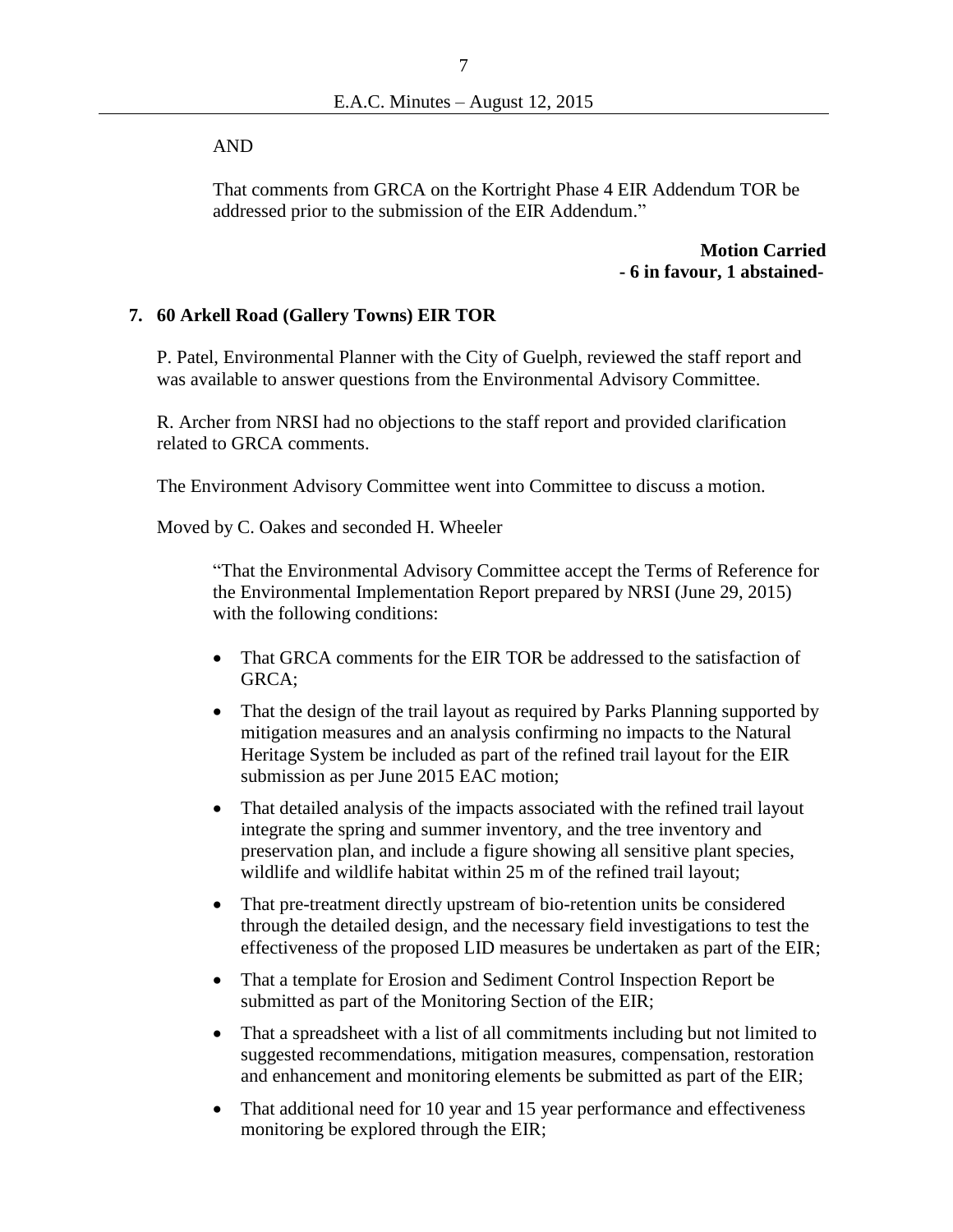AND

That comments from GRCA on the Kortright Phase 4 EIR Addendum TOR be addressed prior to the submission of the EIR Addendum."

> **Motion Carried - 6 in favour, 1 abstained-**

## **7. 60 Arkell Road (Gallery Towns) EIR TOR**

P. Patel, Environmental Planner with the City of Guelph, reviewed the staff report and was available to answer questions from the Environmental Advisory Committee.

R. Archer from NRSI had no objections to the staff report and provided clarification related to GRCA comments.

The Environment Advisory Committee went into Committee to discuss a motion.

Moved by C. Oakes and seconded H. Wheeler

"That the Environmental Advisory Committee accept the Terms of Reference for the Environmental Implementation Report prepared by NRSI (June 29, 2015) with the following conditions:

- That GRCA comments for the EIR TOR be addressed to the satisfaction of GRCA;
- That the design of the trail layout as required by Parks Planning supported by mitigation measures and an analysis confirming no impacts to the Natural Heritage System be included as part of the refined trail layout for the EIR submission as per June 2015 EAC motion;
- That detailed analysis of the impacts associated with the refined trail layout integrate the spring and summer inventory, and the tree inventory and preservation plan, and include a figure showing all sensitive plant species, wildlife and wildlife habitat within 25 m of the refined trail layout;
- That pre-treatment directly upstream of bio-retention units be considered through the detailed design, and the necessary field investigations to test the effectiveness of the proposed LID measures be undertaken as part of the EIR;
- That a template for Erosion and Sediment Control Inspection Report be submitted as part of the Monitoring Section of the EIR;
- That a spreadsheet with a list of all commitments including but not limited to suggested recommendations, mitigation measures, compensation, restoration and enhancement and monitoring elements be submitted as part of the EIR;
- That additional need for 10 year and 15 year performance and effectiveness monitoring be explored through the EIR;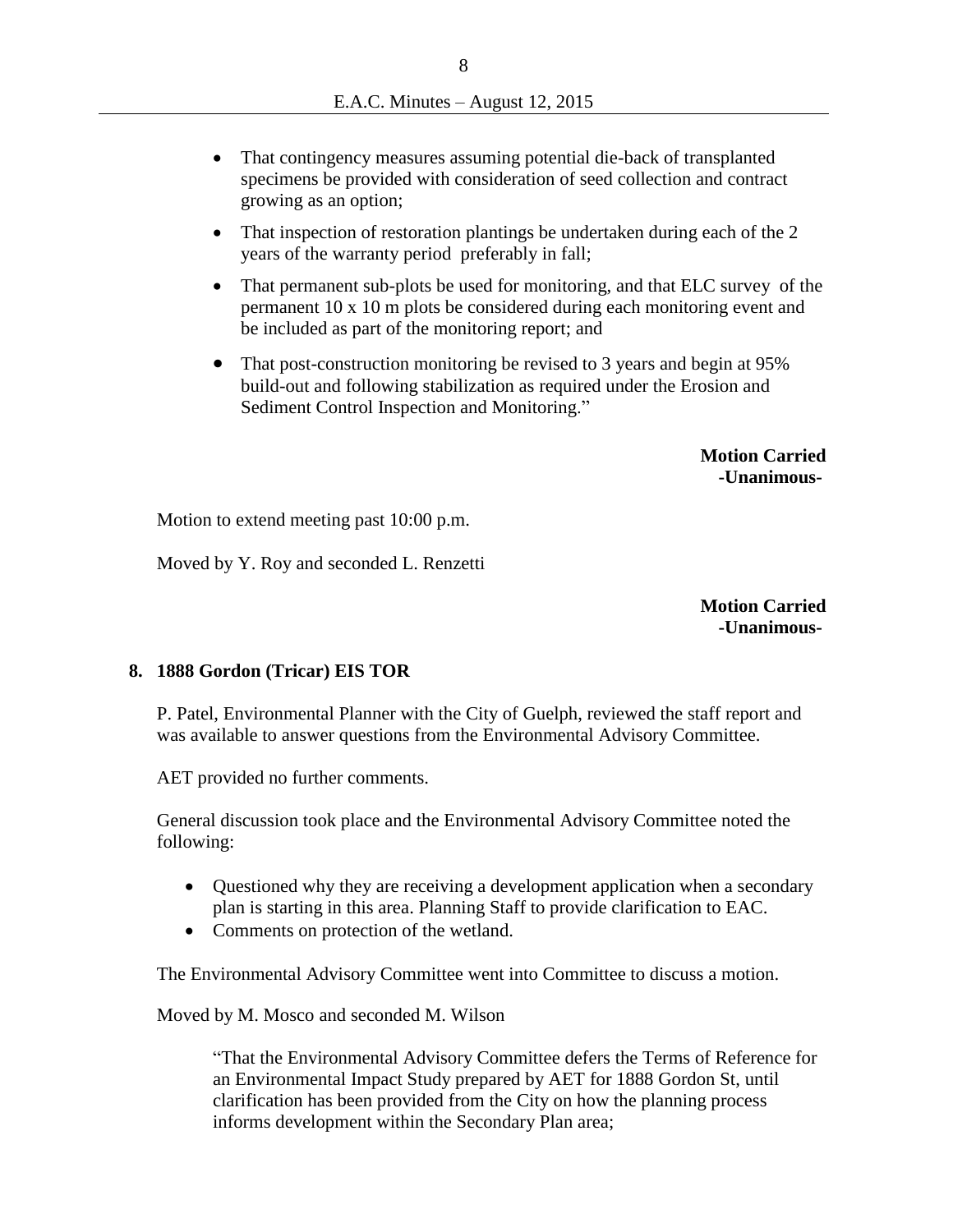- That contingency measures assuming potential die-back of transplanted specimens be provided with consideration of seed collection and contract growing as an option;
- That inspection of restoration plantings be undertaken during each of the 2 years of the warranty period preferably in fall;
- That permanent sub-plots be used for monitoring, and that ELC survey of the permanent 10 x 10 m plots be considered during each monitoring event and be included as part of the monitoring report; and
- That post-construction monitoring be revised to 3 years and begin at 95% build-out and following stabilization as required under the Erosion and Sediment Control Inspection and Monitoring."

 **Motion Carried -Unanimous-**

Motion to extend meeting past 10:00 p.m.

Moved by Y. Roy and seconded L. Renzetti

**Motion Carried -Unanimous-**

## **8. 1888 Gordon (Tricar) EIS TOR**

P. Patel, Environmental Planner with the City of Guelph, reviewed the staff report and was available to answer questions from the Environmental Advisory Committee.

AET provided no further comments.

General discussion took place and the Environmental Advisory Committee noted the following:

- Questioned why they are receiving a development application when a secondary plan is starting in this area. Planning Staff to provide clarification to EAC.
- Comments on protection of the wetland.

The Environmental Advisory Committee went into Committee to discuss a motion.

Moved by M. Mosco and seconded M. Wilson

"That the Environmental Advisory Committee defers the Terms of Reference for an Environmental Impact Study prepared by AET for 1888 Gordon St, until clarification has been provided from the City on how the planning process informs development within the Secondary Plan area;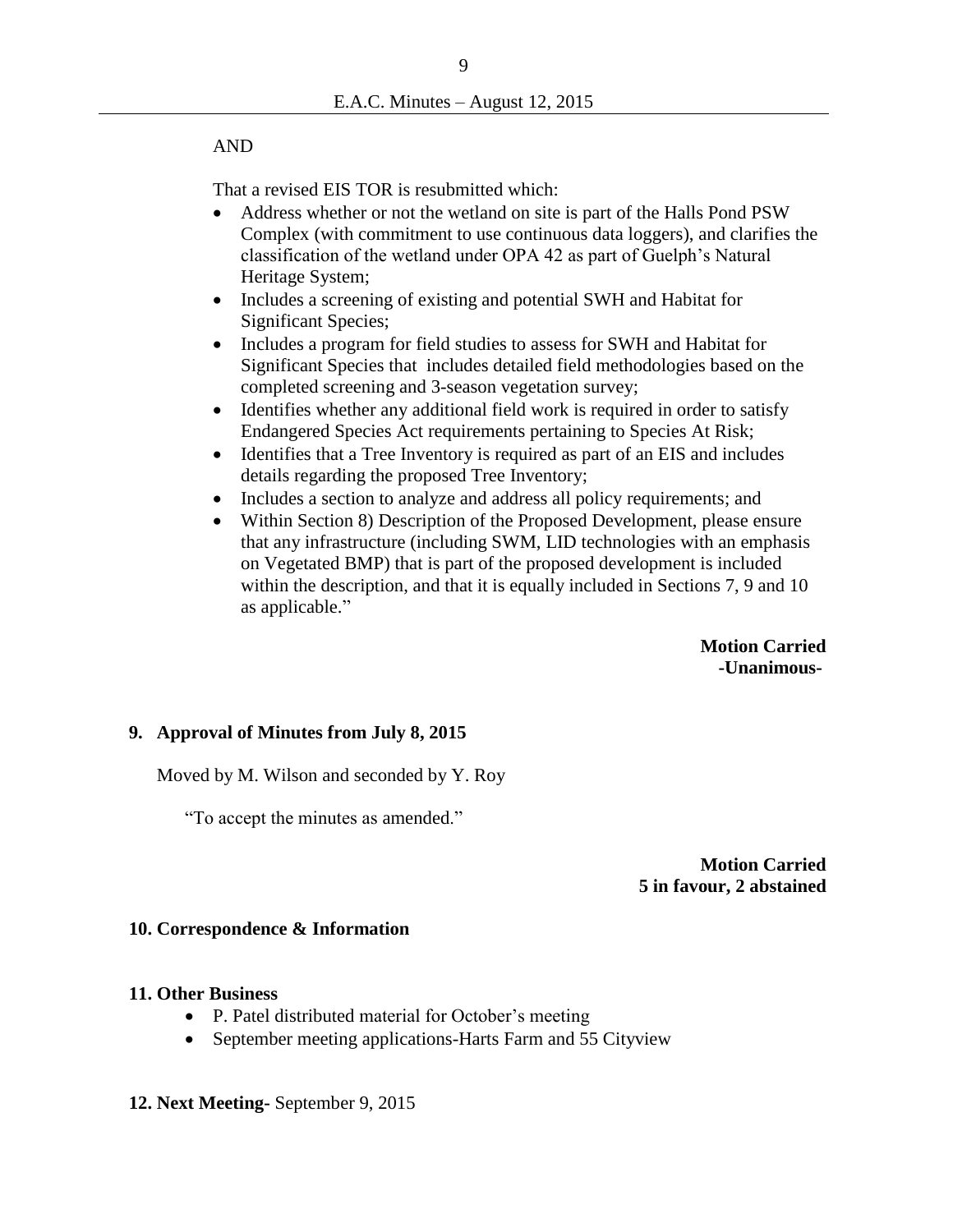## AND

That a revised EIS TOR is resubmitted which:

- Address whether or not the wetland on site is part of the Halls Pond PSW Complex (with commitment to use continuous data loggers), and clarifies the classification of the wetland under OPA 42 as part of Guelph's Natural Heritage System;
- Includes a screening of existing and potential SWH and Habitat for Significant Species;
- Includes a program for field studies to assess for SWH and Habitat for Significant Species that includes detailed field methodologies based on the completed screening and 3-season vegetation survey;
- Identifies whether any additional field work is required in order to satisfy Endangered Species Act requirements pertaining to Species At Risk;
- Identifies that a Tree Inventory is required as part of an EIS and includes details regarding the proposed Tree Inventory;
- Includes a section to analyze and address all policy requirements; and
- Within Section 8) Description of the Proposed Development, please ensure that any infrastructure (including SWM, LID technologies with an emphasis on Vegetated BMP) that is part of the proposed development is included within the description, and that it is equally included in Sections 7, 9 and 10 as applicable."

 **Motion Carried -Unanimous-**

# **9. Approval of Minutes from July 8, 2015**

Moved by M. Wilson and seconded by Y. Roy

"To accept the minutes as amended."

**Motion Carried 5 in favour, 2 abstained**

## **10. Correspondence & Information**

## **11. Other Business**

- P. Patel distributed material for October's meeting
- September meeting applications-Harts Farm and 55 Cityview
- **12. Next Meeting-** September 9, 2015